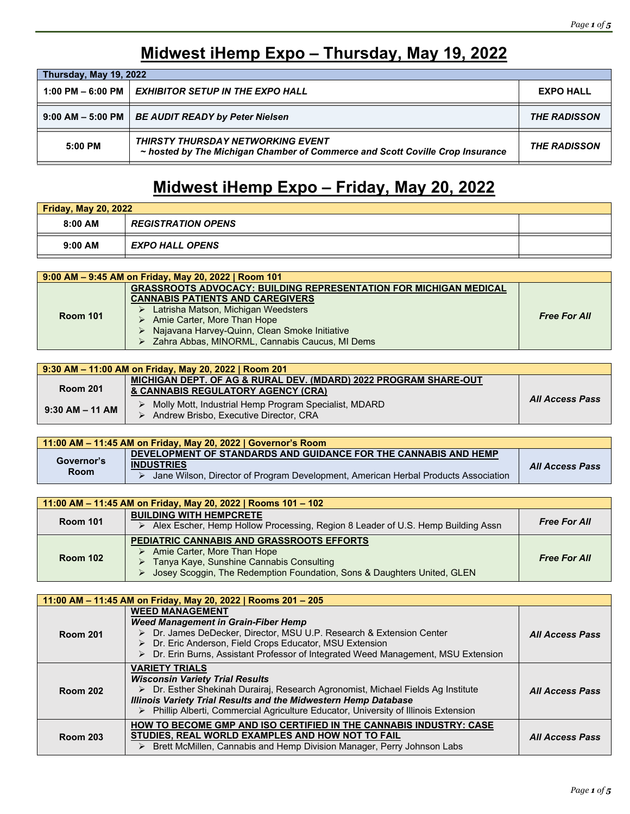### **Midwest iHemp Expo – Thursday, May 19, 2022**

| Thursday, May 19, 2022            |                                                                                                                           |                     |
|-----------------------------------|---------------------------------------------------------------------------------------------------------------------------|---------------------|
|                                   | 1:00 PM – 6:00 PM $\parallel$ EXHIBITOR SETUP IN THE EXPO HALL                                                            | <b>EXPO HALL</b>    |
| $9:00$ AM $-$ 5:00 PM $\parallel$ | <b>BE AUDIT READY by Peter Nielsen</b>                                                                                    | <b>THE RADISSON</b> |
| 5:00 PM                           | <b>THIRSTY THURSDAY NETWORKING EVENT</b><br>~ hosted by The Michigan Chamber of Commerce and Scott Coville Crop Insurance | <b>THE RADISSON</b> |

## **Midwest iHemp Expo – Friday, May 20, 2022**

| Friday, May 20, 2022 |                           |  |
|----------------------|---------------------------|--|
| $8:00$ AM            | <b>REGISTRATION OPENS</b> |  |
| $9:00$ AM            | <b>EXPO HALL OPENS</b>    |  |

| 9:00 AM - 9:45 AM on Friday, May 20, 2022   Room 101 |                                                                          |                     |  |
|------------------------------------------------------|--------------------------------------------------------------------------|---------------------|--|
| <b>Room 101</b>                                      | <b>GRASSROOTS ADVOCACY: BUILDING REPRESENTATION FOR MICHIGAN MEDICAL</b> |                     |  |
|                                                      | <b>CANNABIS PATIENTS AND CAREGIVERS</b>                                  |                     |  |
|                                                      | $\triangleright$ Latrisha Matson, Michigan Weedsters                     |                     |  |
|                                                      | > Amie Carter, More Than Hope                                            | <b>Free For All</b> |  |
|                                                      | > Najavana Harvey-Quinn, Clean Smoke Initiative                          |                     |  |
|                                                      | > Zahra Abbas, MINORML, Cannabis Caucus, MI Dems                         |                     |  |

| 9:30 AM – 11:00 AM on Friday, May 20, 2022   Room 201 |                                                                                                 |                 |  |
|-------------------------------------------------------|-------------------------------------------------------------------------------------------------|-----------------|--|
|                                                       | MICHIGAN DEPT. OF AG & RURAL DEV. (MDARD) 2022 PROGRAM SHARE-OUT                                |                 |  |
| <b>Room 201</b>                                       | & CANNABIS REGULATORY AGENCY (CRA)                                                              |                 |  |
| $9:30$ AM $-$ 11 AM                                   | Molly Mott, Industrial Hemp Program Specialist, MDARD<br>Andrew Brisbo, Executive Director, CRA | All Access Pass |  |

| 11:00 AM – 11:45 AM on Friday, May 20, 2022   Governor's Room |                                                                                    |                 |
|---------------------------------------------------------------|------------------------------------------------------------------------------------|-----------------|
|                                                               | DEVELOPMENT OF STANDARDS AND GUIDANCE FOR THE CANNABIS AND HEMP                    |                 |
| Governor's                                                    | <b>INDUSTRIES</b>                                                                  | All Access Pass |
| <b>Room</b>                                                   | Jane Wilson, Director of Program Development, American Herbal Products Association |                 |

| 11:00 AM – 11:45 AM on Friday, May 20, 2022   Rooms 101 – 102 |                                                                                                                                                                                                 |                     |
|---------------------------------------------------------------|-------------------------------------------------------------------------------------------------------------------------------------------------------------------------------------------------|---------------------|
| <b>Room 101</b>                                               | <b>BUILDING WITH HEMPCRETE</b><br>Alex Escher, Hemp Hollow Processing, Region 8 Leader of U.S. Hemp Building Assn                                                                               | <b>Free For All</b> |
| <b>Room 102</b>                                               | PEDIATRIC CANNABIS AND GRASSROOTS EFFORTS<br>Amie Carter, More Than Hope<br>Tanya Kaye, Sunshine Cannabis Consulting<br>Josey Scoggin, The Redemption Foundation, Sons & Daughters United, GLEN | <b>Free For All</b> |

| 11:00 AM – 11:45 AM on Friday, May 20, 2022   Rooms 201 – 205 |                                                                                                                                                                                                                                                                                                                       |                        |
|---------------------------------------------------------------|-----------------------------------------------------------------------------------------------------------------------------------------------------------------------------------------------------------------------------------------------------------------------------------------------------------------------|------------------------|
| <b>Room 201</b>                                               | <b>WEED MANAGEMENT</b><br><b>Weed Management in Grain-Fiber Hemp</b><br>> Dr. James DeDecker, Director, MSU U.P. Research & Extension Center<br>> Dr. Eric Anderson, Field Crops Educator, MSU Extension<br>Dr. Erin Burns, Assistant Professor of Integrated Weed Management, MSU Extension<br>➤                     | <b>All Access Pass</b> |
| <b>Room 202</b>                                               | <b>VARIETY TRIALS</b><br><b>Wisconsin Variety Trial Results</b><br>▶ Dr. Esther Shekinah Durairaj, Research Agronomist, Michael Fields Ag Institute<br><b>Illinois Variety Trial Results and the Midwestern Hemp Database</b><br>> Phillip Alberti, Commercial Agriculture Educator, University of Illinois Extension | <b>All Access Pass</b> |
| <b>Room 203</b>                                               | HOW TO BECOME GMP AND ISO CERTIFIED IN THE CANNABIS INDUSTRY: CASE<br>STUDIES, REAL WORLD EXAMPLES AND HOW NOT TO FAIL<br>> Brett McMillen, Cannabis and Hemp Division Manager, Perry Johnson Labs                                                                                                                    | <b>All Access Pass</b> |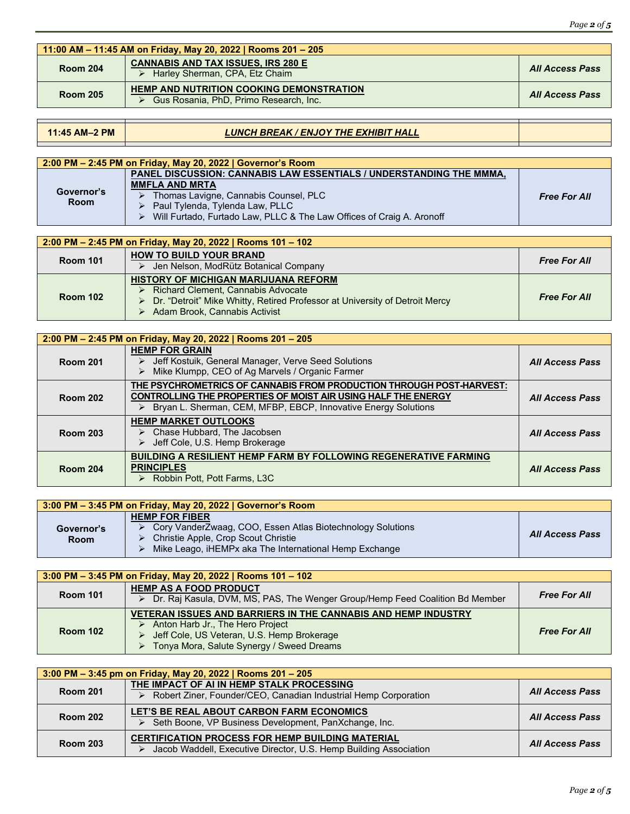| Page $2$ of $5$ |  |  |
|-----------------|--|--|
|                 |  |  |

| 11:00 AM – 11:45 AM on Friday, May 20, 2022   Rooms 201 – 205 |                                                                                           |                        |
|---------------------------------------------------------------|-------------------------------------------------------------------------------------------|------------------------|
| <b>Room 204</b>                                               | <b>CANNABIS AND TAX ISSUES, IRS 280 E</b><br>Harley Sherman, CPA, Etz Chaim               | <b>All Access Pass</b> |
| <b>Room 205</b>                                               | <b>HEMP AND NUTRITION COOKING DEMONSTRATION</b><br>Gus Rosania, PhD, Primo Research, Inc. | <b>All Access Pass</b> |

### **11:45 AM–2 PM** *LUNCH BREAK / ENJOY THE EXHIBIT HALL*

| 2:00 PM – 2:45 PM on Friday, May 20, 2022   Governor's Room |                                                                            |                     |  |
|-------------------------------------------------------------|----------------------------------------------------------------------------|---------------------|--|
| Governor's<br><b>Room</b>                                   | PANEL DISCUSSION: CANNABIS LAW ESSENTIALS / UNDERSTANDING THE MMMA.        |                     |  |
|                                                             | <b>MMFLA AND MRTA</b>                                                      |                     |  |
|                                                             | Thomas Lavigne, Cannabis Counsel, PLC<br>$\rightarrow$                     | <b>Free For All</b> |  |
|                                                             | $\triangleright$ Paul Tylenda, Tylenda Law, PLLC                           |                     |  |
|                                                             | Will Furtado, Furtado Law, PLLC & The Law Offices of Craig A. Aronoff<br>➤ |                     |  |

| 2:00 PM - 2:45 PM on Friday, May 20, 2022   Rooms 101 - 102 |                                                                                                                                                                                                                  |                     |  |
|-------------------------------------------------------------|------------------------------------------------------------------------------------------------------------------------------------------------------------------------------------------------------------------|---------------------|--|
| <b>Room 101</b>                                             | <b>HOW TO BUILD YOUR BRAND</b><br>Jen Nelson, ModRütz Botanical Company<br>➤                                                                                                                                     | <b>Free For All</b> |  |
| <b>Room 102</b>                                             | <b>HISTORY OF MICHIGAN MARIJUANA REFORM</b><br>Richard Clement, Cannabis Advocate<br>➤<br>Dr. "Detroit" Mike Whitty, Retired Professor at University of Detroit Mercy<br>➤<br>Adam Brook, Cannabis Activist<br>⋗ | <b>Free For All</b> |  |

| 2:00 PM - 2:45 PM on Friday, May 20, 2022   Rooms 201 - 205 |                                                                                                                                                                                                                             |                        |
|-------------------------------------------------------------|-----------------------------------------------------------------------------------------------------------------------------------------------------------------------------------------------------------------------------|------------------------|
| <b>Room 201</b>                                             | <b>HEMP FOR GRAIN</b><br>> Jeff Kostuik, General Manager, Verve Seed Solutions<br>Mike Klumpp, CEO of Ag Marvels / Organic Farmer<br>➤                                                                                      | <b>All Access Pass</b> |
| <b>Room 202</b>                                             | THE PSYCHROMETRICS OF CANNABIS FROM PRODUCTION THROUGH POST-HARVEST:<br>CONTROLLING THE PROPERTIES OF MOIST AIR USING HALF THE ENERGY<br>Bryan L. Sherman, CEM, MFBP, EBCP, Innovative Energy Solutions<br>$\triangleright$ | <b>All Access Pass</b> |
| <b>Room 203</b>                                             | <b>HEMP MARKET OUTLOOKS</b><br>$\triangleright$ Chase Hubbard, The Jacobsen<br>> Jeff Cole, U.S. Hemp Brokerage                                                                                                             | <b>All Access Pass</b> |
| <b>Room 204</b>                                             | <b>BUILDING A RESILIENT HEMP FARM BY FOLLOWING REGENERATIVE FARMING</b><br><b>PRINCIPLES</b><br>$\triangleright$ Robbin Pott, Pott Farms, L3C                                                                               | <b>All Access Pass</b> |

| 3:00 PM - 3:45 PM on Friday, May 20, 2022   Governor's Room |                                                                                                                                                                                      |                        |
|-------------------------------------------------------------|--------------------------------------------------------------------------------------------------------------------------------------------------------------------------------------|------------------------|
| Governor's<br><b>Room</b>                                   | <b>HEMP FOR FIBER</b><br>Cory VanderZwaag, COO, Essen Atlas Biotechnology Solutions<br>Christie Apple, Crop Scout Christie<br>Mike Leago, iHEMPx aka The International Hemp Exchange | <b>All Access Pass</b> |

| 3:00 PM $-$ 3:45 PM on Friday, May 20, 2022   Rooms 101 $-$ 102 |                                                                                                                                                                                                            |                     |
|-----------------------------------------------------------------|------------------------------------------------------------------------------------------------------------------------------------------------------------------------------------------------------------|---------------------|
| <b>Room 101</b>                                                 | <b>HEMP AS A FOOD PRODUCT</b><br>▶ Dr. Raj Kasula, DVM, MS, PAS, The Wenger Group/Hemp Feed Coalition Bd Member                                                                                            | <b>Free For All</b> |
| <b>Room 102</b>                                                 | <b>VETERAN ISSUES AND BARRIERS IN THE CANNABIS AND HEMP INDUSTRY</b><br>Anton Harb Jr., The Hero Project<br>➤<br>Jeff Cole, US Veteran, U.S. Hemp Brokerage<br>> Tonya Mora, Salute Synergy / Sweed Dreams | <b>Free For All</b> |

| 3:00 PM $-$ 3:45 pm on Friday, May 20, 2022   Rooms 201 $-$ 205 |                                                                                                                              |                        |
|-----------------------------------------------------------------|------------------------------------------------------------------------------------------------------------------------------|------------------------|
| <b>Room 201</b>                                                 | THE IMPACT OF AI IN HEMP STALK PROCESSING<br>> Robert Ziner, Founder/CEO, Canadian Industrial Hemp Corporation               | <b>All Access Pass</b> |
| <b>Room 202</b>                                                 | LET'S BE REAL ABOUT CARBON FARM ECONOMICS<br>Seth Boone, VP Business Development, PanXchange, Inc.                           | <b>All Access Pass</b> |
| <b>Room 203</b>                                                 | <b>CERTIFICATION PROCESS FOR HEMP BUILDING MATERIAL</b><br>Jacob Waddell, Executive Director, U.S. Hemp Building Association | <b>All Access Pass</b> |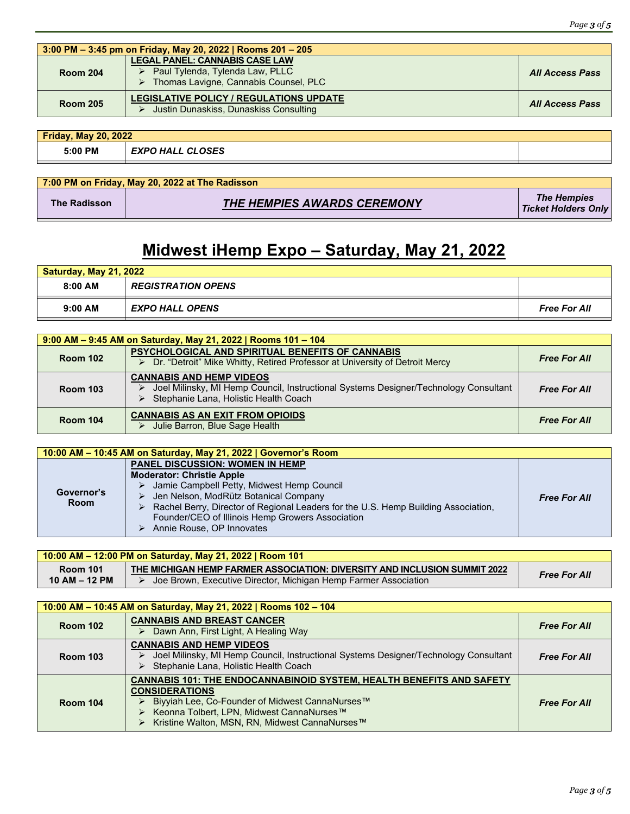| 3:00 PM – 3:45 pm on Friday, May 20, 2022   Rooms 201 – 205 |                                                                                                                                      |                        |
|-------------------------------------------------------------|--------------------------------------------------------------------------------------------------------------------------------------|------------------------|
| <b>Room 204</b>                                             | <b>LEGAL PANEL: CANNABIS CASE LAW</b><br>$\triangleright$ Paul Tylenda, Tylenda Law, PLLC<br>> Thomas Lavigne, Cannabis Counsel, PLC | <b>All Access Pass</b> |
| <b>Room 205</b>                                             | <b>LEGISLATIVE POLICY / REGULATIONS UPDATE</b><br>Justin Dunaskiss, Dunaskiss Consulting                                             | <b>All Access Pass</b> |

| <b>Friday, May 20, 2022</b> |                         |  |
|-----------------------------|-------------------------|--|
| 5:00 PM                     | <b>EXPO HALL CLOSES</b> |  |
|                             |                         |  |

|                     | 7:00 PM on Friday, May 20, 2022 at The Radisson |                                                  |
|---------------------|-------------------------------------------------|--------------------------------------------------|
| <b>The Radisson</b> | <b>THE HEMPIES AWARDS CEREMONY</b>              | <b>The Hempies</b><br><b>Ticket Holders Only</b> |

# **Midwest iHemp Expo – Saturday, May 21, 2022**

| <b>Saturday, May 21, 2022</b> |                           |                     |
|-------------------------------|---------------------------|---------------------|
| $8:00$ AM                     | <b>REGISTRATION OPENS</b> |                     |
| $9:00$ AM                     | <b>EXPO HALL OPENS</b>    | <b>Free For All</b> |

| 9:00 AM - 9:45 AM on Saturday, May 21, 2022   Rooms 101 - 104 |                                                                                                                                                                  |                     |
|---------------------------------------------------------------|------------------------------------------------------------------------------------------------------------------------------------------------------------------|---------------------|
| <b>Room 102</b>                                               | <b>PSYCHOLOGICAL AND SPIRITUAL BENEFITS OF CANNABIS</b><br>▶ Dr. "Detroit" Mike Whitty, Retired Professor at University of Detroit Mercy                         | <b>Free For All</b> |
| <b>Room 103</b>                                               | <b>CANNABIS AND HEMP VIDEOS</b><br>Joel Milinsky, MI Hemp Council, Instructional Systems Designer/Technology Consultant<br>Stephanie Lana, Holistic Health Coach | <b>Free For All</b> |
| <b>Room 104</b>                                               | <b>CANNABIS AS AN EXIT FROM OPIOIDS</b><br>Julie Barron, Blue Sage Health                                                                                        | <b>Free For All</b> |

| 10:00 AM – 10:45 AM on Saturday, May 21, 2022   Governor's Room |                                                                                    |                     |
|-----------------------------------------------------------------|------------------------------------------------------------------------------------|---------------------|
|                                                                 | <b>PANEL DISCUSSION: WOMEN IN HEMP</b>                                             |                     |
| Governor's<br><b>Room</b>                                       | <b>Moderator: Christie Apple</b>                                                   |                     |
|                                                                 | Jamie Campbell Petty, Midwest Hemp Council<br>➤                                    |                     |
|                                                                 | Jen Nelson, ModRütz Botanical Company                                              | <b>Free For All</b> |
|                                                                 | Rachel Berry, Director of Regional Leaders for the U.S. Hemp Building Association, |                     |
|                                                                 | Founder/CEO of Illinois Hemp Growers Association                                   |                     |
|                                                                 | Annie Rouse, OP Innovates                                                          |                     |

| 10:00 AM - 12:00 PM on Saturday, May 21, 2022   Room 101 |                                                                                                                                              |                     |
|----------------------------------------------------------|----------------------------------------------------------------------------------------------------------------------------------------------|---------------------|
| <b>Room 101</b><br>$10$ AM $-$ 12 PM                     | THE MICHIGAN HEMP FARMER ASSOCIATION: DIVERSITY AND INCLUSION SUMMIT 2022<br>Joe Brown, Executive Director, Michigan Hemp Farmer Association | <b>Free For All</b> |

| 10:00 AM - 10:45 AM on Saturday, May 21, 2022   Rooms 102 - 104 |                                                                                                                                                                                                                                                                    |                     |
|-----------------------------------------------------------------|--------------------------------------------------------------------------------------------------------------------------------------------------------------------------------------------------------------------------------------------------------------------|---------------------|
| <b>Room 102</b>                                                 | <b>CANNABIS AND BREAST CANCER</b><br>> Dawn Ann, First Light, A Healing Way                                                                                                                                                                                        | <b>Free For All</b> |
| <b>Room 103</b>                                                 | <b>CANNABIS AND HEMP VIDEOS</b><br>Joel Milinsky, MI Hemp Council, Instructional Systems Designer/Technology Consultant<br>⋗<br>Stephanie Lana, Holistic Health Coach                                                                                              | <b>Free For All</b> |
| <b>Room 104</b>                                                 | <b>CANNABIS 101: THE ENDOCANNABINOID SYSTEM. HEALTH BENEFITS AND SAFETY</b><br><b>CONSIDERATIONS</b><br>Biyyiah Lee, Co-Founder of Midwest CannaNurses™<br>⋗<br>Keonna Tolbert, LPN, Midwest CannaNurses™<br>⋗<br>▶ Kristine Walton, MSN, RN, Midwest CannaNurses™ | <b>Free For All</b> |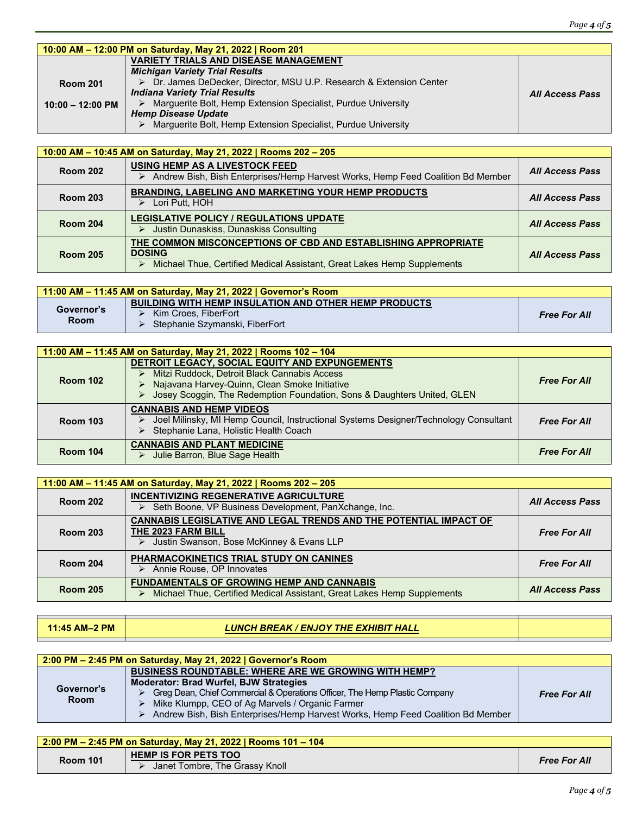| <b>All Access Pass</b> |
|------------------------|
|                        |
|                        |
|                        |
|                        |

| 10:00 AM - 10:45 AM on Saturday, May 21, 2022   Rooms 202 - 205 |                                                                                                                                                                            |                        |
|-----------------------------------------------------------------|----------------------------------------------------------------------------------------------------------------------------------------------------------------------------|------------------------|
| <b>Room 202</b>                                                 | USING HEMP AS A LIVESTOCK FEED<br>Andrew Bish, Bish Enterprises/Hemp Harvest Works, Hemp Feed Coalition Bd Member                                                          | <b>All Access Pass</b> |
| <b>Room 203</b>                                                 | <b>BRANDING, LABELING AND MARKETING YOUR HEMP PRODUCTS</b><br>$\triangleright$ Lori Putt, HOH                                                                              | <b>All Access Pass</b> |
| <b>Room 204</b>                                                 | <b>LEGISLATIVE POLICY / REGULATIONS UPDATE</b><br>> Justin Dunaskiss, Dunaskiss Consulting                                                                                 | <b>All Access Pass</b> |
| <b>Room 205</b>                                                 | THE COMMON MISCONCEPTIONS OF CBD AND ESTABLISHING APPROPRIATE<br><b>DOSING</b><br>Michael Thue, Certified Medical Assistant, Great Lakes Hemp Supplements<br>$\rightarrow$ | <b>All Access Pass</b> |

| 11:00 AM – 11:45 AM on Saturday, May 21, 2022   Governor's Room |                                                                                                                        |                     |
|-----------------------------------------------------------------|------------------------------------------------------------------------------------------------------------------------|---------------------|
| Governor's<br><b>Room</b>                                       | <b>BUILDING WITH HEMP INSULATION AND OTHER HEMP PRODUCTS</b><br>Kim Croes. FiberFort<br>Stephanie Szymanski, FiberFort | <b>Free For All</b> |

| 11:00 AM - 11:45 AM on Saturday, May 21, 2022   Rooms 102 - 104 |                                                                                                                                                                                                                                   |                     |
|-----------------------------------------------------------------|-----------------------------------------------------------------------------------------------------------------------------------------------------------------------------------------------------------------------------------|---------------------|
| <b>Room 102</b>                                                 | DETROIT LEGACY, SOCIAL EQUITY AND EXPUNGEMENTS<br>Mitzi Ruddock, Detroit Black Cannabis Access<br>> Najavana Harvey-Quinn, Clean Smoke Initiative<br>Josey Scoggin, The Redemption Foundation, Sons & Daughters United, GLEN<br>➤ | <b>Free For All</b> |
| <b>Room 103</b>                                                 | <b>CANNABIS AND HEMP VIDEOS</b><br>Joel Milinsky, MI Hemp Council, Instructional Systems Designer/Technology Consultant<br>⋗<br>Stephanie Lana, Holistic Health Coach<br>➤                                                        | <b>Free For All</b> |
| <b>Room 104</b>                                                 | <b>CANNABIS AND PLANT MEDICINE</b><br>Julie Barron, Blue Sage Health<br>➤                                                                                                                                                         | <b>Free For All</b> |

| 11:00 AM – 11:45 AM on Saturday, May 21, 2022   Rooms 202 – 205 |                                                                                                                                               |                        |
|-----------------------------------------------------------------|-----------------------------------------------------------------------------------------------------------------------------------------------|------------------------|
| <b>Room 202</b>                                                 | <b>INCENTIVIZING REGENERATIVE AGRICULTURE</b><br>> Seth Boone, VP Business Development, PanXchange, Inc.                                      | <b>All Access Pass</b> |
| <b>Room 203</b>                                                 | <b>CANNABIS LEGISLATIVE AND LEGAL TRENDS AND THE POTENTIAL IMPACT OF</b><br>THE 2023 FARM BILL<br>> Justin Swanson, Bose McKinney & Evans LLP | <b>Free For All</b>    |
| <b>Room 204</b>                                                 | <b>PHARMACOKINETICS TRIAL STUDY ON CANINES</b><br>Annie Rouse, OP Innovates                                                                   | <b>Free For All</b>    |
| <b>Room 205</b>                                                 | <b>FUNDAMENTALS OF GROWING HEMP AND CANNABIS</b><br>Michael Thue, Certified Medical Assistant, Great Lakes Hemp Supplements                   | <b>All Access Pass</b> |

#### **11:45 AM–2 PM** *LUNCH BREAK / ENJOY THE EXHIBIT HALL*

| 2:00 PM – 2:45 PM on Saturday, May 21, 2022   Governor's Room |                                                                                      |                     |  |
|---------------------------------------------------------------|--------------------------------------------------------------------------------------|---------------------|--|
| Governor's<br><b>Room</b>                                     | <b>BUSINESS ROUNDTABLE: WHERE ARE WE GROWING WITH HEMP?</b>                          |                     |  |
|                                                               | <b>Moderator: Brad Wurfel, BJW Strategies</b>                                        |                     |  |
|                                                               | Greg Dean, Chief Commercial & Operations Officer, The Hemp Plastic Company           | <b>Free For All</b> |  |
|                                                               | Mike Klumpp, CEO of Ag Marvels / Organic Farmer                                      |                     |  |
|                                                               | Andrew Bish, Bish Enterprises/Hemp Harvest Works, Hemp Feed Coalition Bd Member<br>⋗ |                     |  |

| 2:00 PM - 2:45 PM on Saturday, May 21, 2022   Rooms 101 - 104 |                                                               |                     |
|---------------------------------------------------------------|---------------------------------------------------------------|---------------------|
| <b>Room 101</b>                                               | <b>HEMP IS FOR PETS TOO</b><br>Janet Tombre, The Grassy Knoll | <b>Free For All</b> |